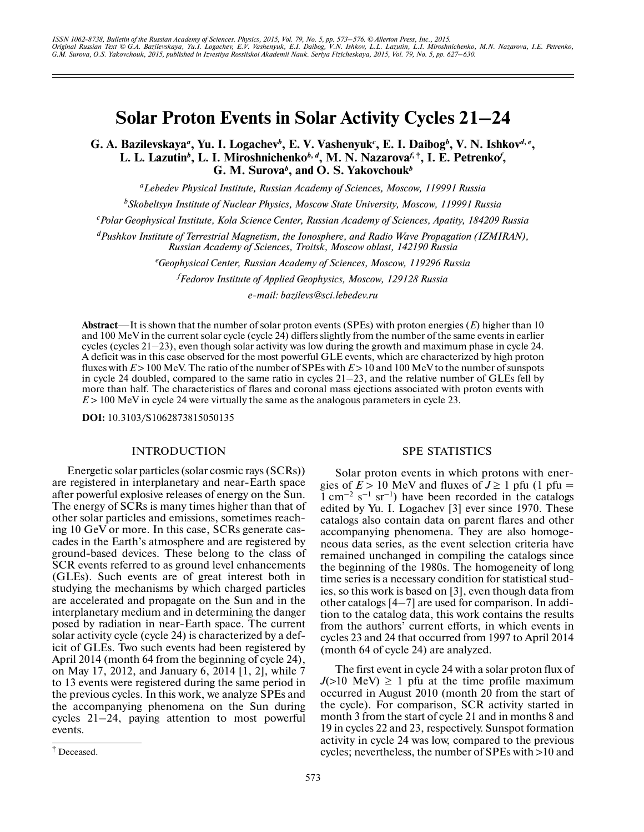# **Solar Proton Events in Solar Activity Cycles 21–24**

G. A. Bazilevskaya<sup>*a*</sup>, Yu. I. Logachev<sup>*b*</sup>, E. V. Vashenyuk<sup>*c*</sup>, E. I. Daibog<sup>*b*</sup>, V. N. Ishkov<sup>*d*, *e*</sup>, L. L. Lazutin<sup>b</sup>, L. I. Miroshnichenko<sup>b, d</sup>, M. N. Nazarova<sup>*f*, †</sup>, I. E. Petrenko<sup>*f*</sup>, **G. M. Surova***<sup>b</sup>* **, and O. S. Yakovchouk***<sup>b</sup>*

*a Lebedev Physical Institute, Russian Academy of Sciences, Moscow, 119991 Russia*

*b Skobeltsyn Institute of Nuclear Physics, Moscow State University, Moscow, 119991 Russia*

*c Polar Geophysical Institute, Kola Science Center, Russian Academy of Sciences, Apatity, 184209 Russia*

*d Pushkov Institute of Terrestrial Magnetism, the Ionosphere, and Radio Wave Propagation (IZMIRAN), Russian Academy of Sciences, Troitsk, Moscow oblast, 142190 Russia*

*e Geophysical Center, Russian Academy of Sciences, Moscow, 119296 Russia*

*f Fedorov Institute of Applied Geophysics, Moscow, 129128 Russia*

*e-mail: bazilevs@sci.lebedev.ru*

**Abstract**—It is shown that the number of solar proton events (SPEs) with proton energies (*E*) higher than 10 and 100 MeV in the current solar cycle (cycle 24) differs slightly from the number of the same events in earlier cycles (cycles 21–23), even though solar activity was low during the growth and maximum phase in cycle 24. A deficit was in this case observed for the most powerful GLE events, which are characterized by high proton fluxes with  $E > 100$  MeV. The ratio of the number of SPEs with  $E > 10$  and 100 MeV to the number of sunspots in cycle 24 doubled, compared to the same ratio in cycles 21–23, and the relative number of GLEs fell by more than half. The characteristics of flares and coronal mass ejections associated with proton events with *E* > 100 MeV in cycle 24 were virtually the same as the analogous parameters in cycle 23.

**DOI:** 10.3103/S1062873815050135

## **INTRODUCTION**

Energetic solar particles (solar cosmic rays (SCRs)) are registered in interplanetary and near-Earth space after powerful explosive releases of energy on the Sun. The energy of SCRs is many times higher than that of other solar particles and emissions, sometimes reach ing 10 GeV or more. In this case, SCRs generate cas cades in the Earth's atmosphere and are registered by ground-based devices. These belong to the class of SCR events referred to as ground level enhancements (GLEs). Such events are of great interest both in studying the mechanisms by which charged particles are accelerated and propagate on the Sun and in the interplanetary medium and in determining the danger posed by radiation in near-Earth space. The current solar activity cycle (cycle 24) is characterized by a def icit of GLEs. Two such events had been registered by April 2014 (month 64 from the beginning of cycle 24), on May 17, 2012, and January 6, 2014 [1, 2], while 7 to 13 events were registered during the same period in the previous cycles. In this work, we analyze SPEs and the accompanying phenomena on the Sun during cycles 21–24, paying attention to most powerful events.

Solar proton events in which protons with ener gies of  $E > 10$  MeV and fluxes of  $J \ge 1$  pfu (1 pfu =  $1 \text{ cm}^{-2} \text{ s}^{-1} \text{ sr}^{-1}$ ) have been recorded in the catalogs edited by Yu. I. Logachev [3] ever since 1970. These catalogs also contain data on parent flares and other accompanying phenomena. They are also homoge neous data series, as the event selection criteria have remained unchanged in compiling the catalogs since the beginning of the 1980s. The homogeneity of long time series is a necessary condition for statistical stud ies, so this work is based on [3], even though data from other catalogs [4–7] are used for comparison. In addi tion to the catalog data, this work contains the results from the authors' current efforts, in which events in cycles 23 and 24 that occurred from 1997 to April 2014 (month 64 of cycle 24) are analyzed.

The first event in cycle 24 with a solar proton flux of  $J(>10 \text{ MeV}) \geq 1$  pfu at the time profile maximum occurred in August 2010 (month 20 from the start of the cycle). For comparison, SCR activity started in month 3 from the start of cycle 21 and in months 8 and 19 in cycles 22 and 23, respectively. Sunspot formation activity in cycle 24 was low, compared to the previous cycles; nevertheless, the number of SPEs with >10 and

SPE STATISTICS

<sup>†</sup> Deceased.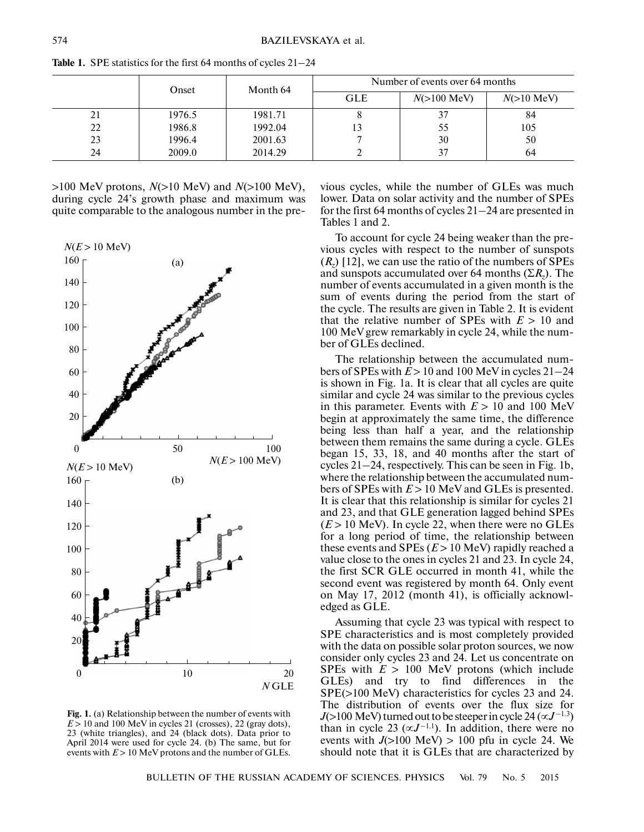|    | Onset  | Month 64 | Number of events over 64 months |                       |              |
|----|--------|----------|---------------------------------|-----------------------|--------------|
|    |        |          | <b>GLE</b>                      | $N(>100 \text{ MeV})$ | $N(>10$ MeV) |
| 21 | 1976.5 | 1981.71  |                                 |                       | 84           |
| 22 | 1986.8 | 1992.04  |                                 | 55                    | 105          |
| 23 | 1996.4 | 2001.63  |                                 | 30                    | 50           |
| 24 | 2009.0 | 2014.29  |                                 | 37                    | 64           |

**Table 1.** SPE statistics for the first 64 months of cycles 21–24

>100 MeV protons, *N*(>10 MeV) and *N*(>100 MeV), during cycle 24's growth phase and maximum was quite comparable to the analogous number in the pre-



**Fig. 1.** (a) Relationship between the number of events with  $E > 10$  and 100 MeV in cycles 21 (crosses), 22 (gray dots), 23 (white triangles), and 24 (black dots). Data prior to April 2014 were used for cycle 24. (b) The same, but for events with  $E > 10$  MeV protons and the number of GLEs.

vious cycles, while the number of GLEs was much lower. Data on solar activity and the number of SPEs for the first 64 months of cycles 21–24 are presented in Tables 1 and 2.

To account for cycle 24 being weaker than the pre vious cycles with respect to the number of sunspots (*Rz*) [12], we can use the ratio of the numbers of SPEs and sunspots accumulated over 64 months (Σ*Rz*). The number of events accumulated in a given month is the sum of events during the period from the start of the cycle. The results are given in Table 2. It is evident that the relative number of SPEs with  $E > 10$  and 100 MeV grew remarkably in cycle 24, while the num ber of GLEs declined.

The relationship between the accumulated numbers of SPEs with  $E > 10$  and 100 MeV in cycles  $21-24$ is shown in Fig. 1a. It is clear that all cycles are quite similar and cycle 24 was similar to the previous cycles in this parameter. Events with  $E > 10$  and 100 MeV begin at approximately the same time, the difference being less than half a year, and the relationship between them remains the same during a cycle. GLEs began 15, 33, 18, and 40 months after the start of cycles 21–24, respectively. This can be seen in Fig. 1b, where the relationship between the accumulated num bers of SPEs with  $E > 10$  MeV and GLEs is presented. It is clear that this relationship is similar for cycles 21 and 23, and that GLE generation lagged behind SPEs  $(E > 10$  MeV). In cycle 22, when there were no GLEs for a long period of time, the relationship between these events and SPEs (*Е* > 10 MeV) rapidly reached a value close to the ones in cycles 21 and 23. In cycle 24, the first SCR GLE occurred in month 41, while the second event was registered by month 64. Only event on May 17, 2012 (month 41), is officially acknowl edged as GLE.

Assuming that cycle 23 was typical with respect to SPE characteristics and is most completely provided with the data on possible solar proton sources, we now consider only cycles 23 and 24. Let us concentrate on SPEs with  $E > 100$  MeV protons (which include GLEs) and try to find differences in the SPE(>100 MeV) characteristics for cycles 23 and 24. The distribution of events over the flux size for  $J(>100 \text{ MeV})$  turned out to be steeper in cycle 24 ( $\propto J^{-1.3}$ ) than in cycle 23 ( $\propto J^{-1.1}$ ). In addition, there were no events with  $J(>100 \text{ MeV}) > 100 \text{ pftu}$  in cycle 24. We should note that it is GLEs that are characterized by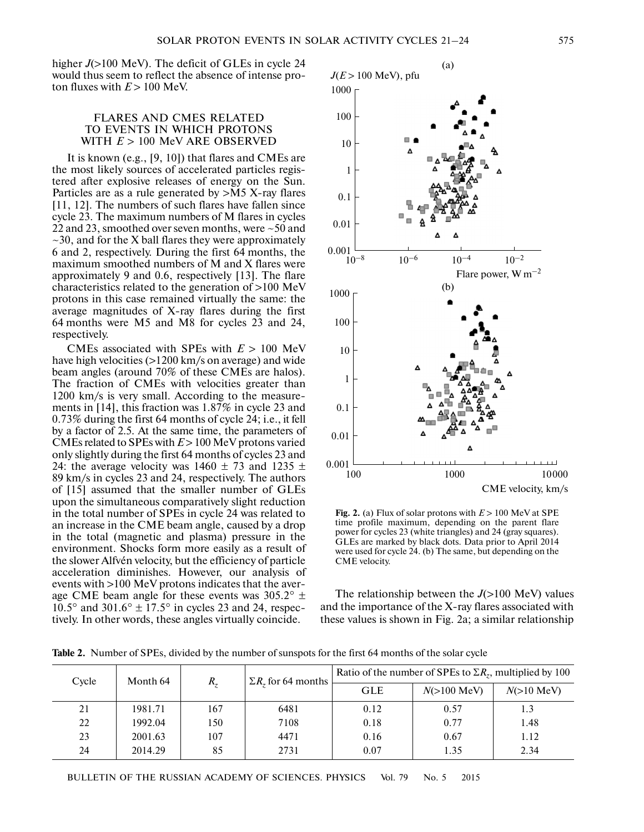

The relationship between the  $J(>100 \text{ MeV})$  values and the importance of the X-ray flares associated with these values is shown in Fig. 2a; a similar relationship

|  | SOLAR PROTON EVENTS IN SOLAR ACTIVITY CYCLES 21-24 |  |
|--|----------------------------------------------------|--|

*J*(*E* > 100 MeV), pfu

higher  $J(>100 \text{ MeV})$ . The deficit of GLEs in cycle 24 would thus seem to reflect the absence of intense pro ton fluxes with  $E > 100$  MeV.

## FLARES AND CMES RELATED TO EVENTS IN WHICH PROTONS WITH *E* > 100 MeV ARE OBSERVED

It is known (e.g., [9, 10]) that flares and CMEs are the most likely sources of accelerated particles regis tered after explosive releases of energy on the Sun. Particles are as a rule generated by >M5 X-ray flares [11, 12]. The numbers of such flares have fallen since cycle 23. The maximum numbers of M flares in cycles 22 and 23, smoothed over seven months, were ~50 and  $\sim$ 30, and for the X ball flares they were approximately 6 and 2, respectively. During the first 64 months, the maximum smoothed numbers of M and X flares were approximately 9 and 0.6, respectively [13]. The flare characteristics related to the generation of >100 MeV protons in this case remained virtually the same: the average magnitudes of X-ray flares during the first 64 months were M5 and M8 for cycles 23 and 24, respectively.

CMEs associated with SPEs with *Е* > 100 MeV have high velocities (>1200 km/s on average) and wide beam angles (around 70% of these CMEs are halos). The fraction of CMEs with velocities greater than 1200 km/s is very small. According to the measure ments in [14], this fraction was 1.87% in cycle 23 and

0.73% during the first 64 months of cycle 24; i.e., it fell by a factor of 2.5. At the same time, the parameters of CMEs related to SPEs with *Е* > 100 MeV protons varied only slightly during the first 64 months of cycles 23 and 24: the average velocity was  $1460 \pm 73$  and  $1235 \pm 73$ 89 km/s in cycles 23 and 24, respectively. The authors of [15] assumed that the smaller number of GLEs upon the simultaneous comparatively slight reduction in the total number of SPEs in cycle 24 was related to an increase in the CME beam angle, caused by a drop in the total (magnetic and plasma) pressure in the environment. Shocks form more easily as a result of the slower Alfvén velocity, but the efficiency of particle acceleration diminishes. However, our analysis of events with >100 MeV protons indicates that the aver age CME beam angle for these events was  $305.2^{\circ}$  ± 10.5° and 301.6°  $\pm$  17.5° in cycles 23 and 24, respectively. In other words, these angles virtually coincide. 0.001 0.01 **Fig. 2.** (a) Flux of solar protons with *E* > 100 MeV at SPE time profile maximum, depending on the parent flare power for cycles 23 (white triangles) and 24 (gray squares). GLEs are marked by black dots. Data prior to April 2014



BULLETIN OF THE RUSSIAN ACADEMY OF SCIENCES. PHYSICS Vol. 79 No. 5 2015

**Table 2.** Number of SPEs, divided by the number of sunspots for the first 64 months of the solar cycle



(a)